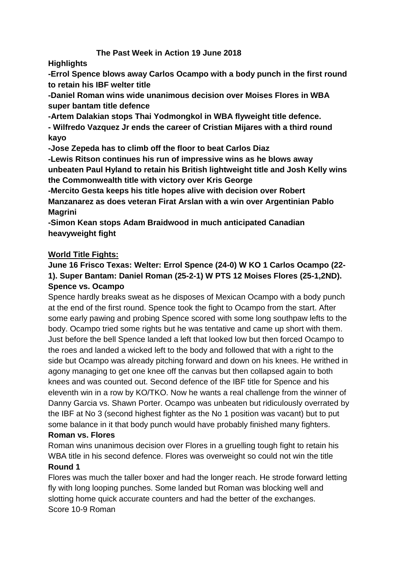# **The Past Week in Action 19 June 2018**

**Highlights**

**-Errol Spence blows away Carlos Ocampo with a body punch in the first round to retain his IBF welter title**

**-Daniel Roman wins wide unanimous decision over Moises Flores in WBA super bantam title defence**

**-Artem Dalakian stops Thai Yodmongkol in WBA flyweight title defence.**

**- Wilfredo Vazquez Jr ends the career of Cristian Mijares with a third round kayo**

**-Jose Zepeda has to climb off the floor to beat Carlos Diaz**

**-Lewis Ritson continues his run of impressive wins as he blows away unbeaten Paul Hyland to retain his British lightweight title and Josh Kelly wins the Commonwealth title with victory over Kris George**

**-Mercito Gesta keeps his title hopes alive with decision over Robert Manzanarez as does veteran Firat Arslan with a win over Argentinian Pablo Magrini**

**-Simon Kean stops Adam Braidwood in much anticipated Canadian heavyweight fight**

# **World Title Fights:**

# **June 16 Frisco Texas: Welter: Errol Spence (24-0) W KO 1 Carlos Ocampo (22- 1). Super Bantam: Daniel Roman (25-2-1) W PTS 12 Moises Flores (25-1,2ND). Spence vs. Ocampo**

Spence hardly breaks sweat as he disposes of Mexican Ocampo with a body punch at the end of the first round. Spence took the fight to Ocampo from the start. After some early pawing and probing Spence scored with some long southpaw lefts to the body. Ocampo tried some rights but he was tentative and came up short with them. Just before the bell Spence landed a left that looked low but then forced Ocampo to the roes and landed a wicked left to the body and followed that with a right to the side but Ocampo was already pitching forward and down on his knees. He writhed in agony managing to get one knee off the canvas but then collapsed again to both knees and was counted out. Second defence of the IBF title for Spence and his eleventh win in a row by KO/TKO. Now he wants a real challenge from the winner of Danny Garcia vs. Shawn Porter. Ocampo was unbeaten but ridiculously overrated by the IBF at No 3 (second highest fighter as the No 1 position was vacant) but to put some balance in it that body punch would have probably finished many fighters.

# **Roman vs. Flores**

Roman wins unanimous decision over Flores in a gruelling tough fight to retain his WBA title in his second defence. Flores was overweight so could not win the title

# **Round 1**

Flores was much the taller boxer and had the longer reach. He strode forward letting fly with long looping punches. Some landed but Roman was blocking well and slotting home quick accurate counters and had the better of the exchanges. Score 10-9 Roman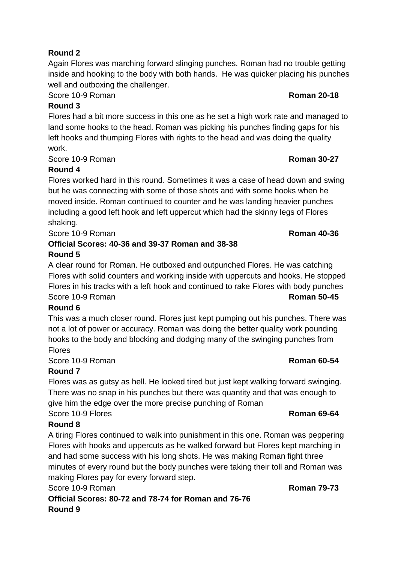# **Round 2**

Again Flores was marching forward slinging punches. Roman had no trouble getting inside and hooking to the body with both hands. He was quicker placing his punches well and outboxing the challenger.

**Score 10-9 Roman <b>Roman 20-18** 

# **Round 3**

Flores had a bit more success in this one as he set a high work rate and managed to land some hooks to the head. Roman was picking his punches finding gaps for his left hooks and thumping Flores with rights to the head and was doing the quality work.

Score 10-9 Roman **Roman 30-27**

# **Round 4**

Flores worked hard in this round. Sometimes it was a case of head down and swing but he was connecting with some of those shots and with some hooks when he moved inside. Roman continued to counter and he was landing heavier punches including a good left hook and left uppercut which had the skinny legs of Flores shaking.

Score 10-9 Roman **Roman 10-36** Roman 40-36

# **Official Scores: 40-36 and 39-37 Roman and 38-38 Round 5**

A clear round for Roman. He outboxed and outpunched Flores. He was catching Flores with solid counters and working inside with uppercuts and hooks. He stopped Flores in his tracks with a left hook and continued to rake Flores with body punches Score 10-9 Roman **Roman 10-9 Roman 50-45** 

# **Round 6**

This was a much closer round. Flores just kept pumping out his punches. There was not a lot of power or accuracy. Roman was doing the better quality work pounding hooks to the body and blocking and dodging many of the swinging punches from Flores

Score 10-9 Roman **Roman 10-9 Roman 60-54** 

# **Round 7**

Flores was as gutsy as hell. He looked tired but just kept walking forward swinging. There was no snap in his punches but there was quantity and that was enough to give him the edge over the more precise punching of Roman

Score 10-9 Flores **Roman 69-64**

# **Round 8**

A tiring Flores continued to walk into punishment in this one. Roman was peppering Flores with hooks and uppercuts as he walked forward but Flores kept marching in and had some success with his long shots. He was making Roman fight three minutes of every round but the body punches were taking their toll and Roman was making Flores pay for every forward step.

Score 10-9 Roman **Roman 79-73**

**Official Scores: 80-72 and 78-74 for Roman and 76-76 Round 9**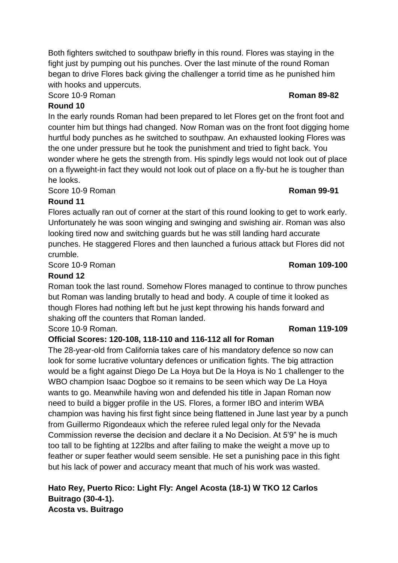Both fighters switched to southpaw briefly in this round. Flores was staying in the fight just by pumping out his punches. Over the last minute of the round Roman began to drive Flores back giving the challenger a torrid time as he punished him with hooks and uppercuts.

**Score 10-9 Roman <b>Roman 89-82** 

# **Round 10**

In the early rounds Roman had been prepared to let Flores get on the front foot and counter him but things had changed. Now Roman was on the front foot digging home hurtful body punches as he switched to southpaw. An exhausted looking Flores was the one under pressure but he took the punishment and tried to fight back. You wonder where he gets the strength from. His spindly legs would not look out of place on a flyweight-in fact they would not look out of place on a fly-but he is tougher than he looks.

**Score 10-9 Roman <b>Roman 199-91 Roman 99-91** 

## **Round 11**

Flores actually ran out of corner at the start of this round looking to get to work early. Unfortunately he was soon winging and swinging and swishing air. Roman was also looking tired now and switching guards but he was still landing hard accurate punches. He staggered Flores and then launched a furious attack but Flores did not crumble.

Score 10-9 Roman **Roman 109-100**

#### **Round 12**

Roman took the last round. Somehow Flores managed to continue to throw punches but Roman was landing brutally to head and body. A couple of time it looked as though Flores had nothing left but he just kept throwing his hands forward and shaking off the counters that Roman landed.

Score 10-9 Roman. **Roman 119-109**

## **Official Scores: 120-108, 118-110 and 116-112 all for Roman**

The 28-year-old from California takes care of his mandatory defence so now can look for some lucrative voluntary defences or unification fights. The big attraction would be a fight against Diego De La Hoya but De la Hoya is No 1 challenger to the WBO champion Isaac Dogboe so it remains to be seen which way De La Hoya wants to go. Meanwhile having won and defended his title in Japan Roman now need to build a bigger profile in the US. Flores, a former IBO and interim WBA champion was having his first fight since being flattened in June last year by a punch from Guillermo Rigondeaux which the referee ruled legal only for the Nevada Commission reverse the decision and declare it a No Decision. At 5'9" he is much too tall to be fighting at 122lbs and after failing to make the weight a move up to feather or super feather would seem sensible. He set a punishing pace in this fight but his lack of power and accuracy meant that much of his work was wasted.

**Hato Rey, Puerto Rico: Light Fly: Angel Acosta (18-1) W TKO 12 Carlos Buitrago (30-4-1). Acosta vs. Buitrago**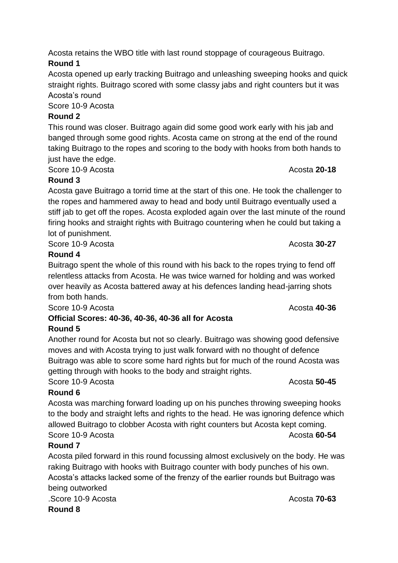Acosta retains the WBO title with last round stoppage of courageous Buitrago. **Round 1**

Acosta opened up early tracking Buitrago and unleashing sweeping hooks and quick straight rights. Buitrago scored with some classy jabs and right counters but it was Acosta's round

Score 10-9 Acosta

# **Round 2**

This round was closer. Buitrago again did some good work early with his jab and banged through some good rights. Acosta came on strong at the end of the round taking Buitrago to the ropes and scoring to the body with hooks from both hands to just have the edge.

Score 10-9 Acosta **20-18** 

## **Round 3**

Acosta gave Buitrago a torrid time at the start of this one. He took the challenger to the ropes and hammered away to head and body until Buitrago eventually used a stiff jab to get off the ropes. Acosta exploded again over the last minute of the round firing hooks and straight rights with Buitrago countering when he could but taking a lot of punishment.

Score 10-9 Acosta **30-27** 

# **Round 4**

Buitrago spent the whole of this round with his back to the ropes trying to fend off relentless attacks from Acosta. He was twice warned for holding and was worked over heavily as Acosta battered away at his defences landing head-jarring shots from both hands.

Score 10-9 Acosta **Acosta** Acosta Acosta Acosta Acosta Acosta Acosta Acosta Acosta Acosta Acosta Acosta Acosta Acosta Acosta Acosta Acosta Acosta Acosta Acosta Acosta Acosta Acosta Acosta Acosta Acosta Acosta Acosta Acosta

## **Official Scores: 40-36, 40-36, 40-36 all for Acosta Round 5**

Another round for Acosta but not so clearly. Buitrago was showing good defensive moves and with Acosta trying to just walk forward with no thought of defence Buitrago was able to score some hard rights but for much of the round Acosta was getting through with hooks to the body and straight rights.

Score 10-9 Acosta **50-45** 

# **Round 6**

Acosta was marching forward loading up on his punches throwing sweeping hooks to the body and straight lefts and rights to the head. He was ignoring defence which allowed Buitrago to clobber Acosta with right counters but Acosta kept coming. Score 10-9 Acosta **60-54** 

# **Round 7**

Acosta piled forward in this round focussing almost exclusively on the body. He was raking Buitrago with hooks with Buitrago counter with body punches of his own. Acosta's attacks lacked some of the frenzy of the earlier rounds but Buitrago was being outworked .Score 10-9 Acosta Acosta **70-63**

**Round 8**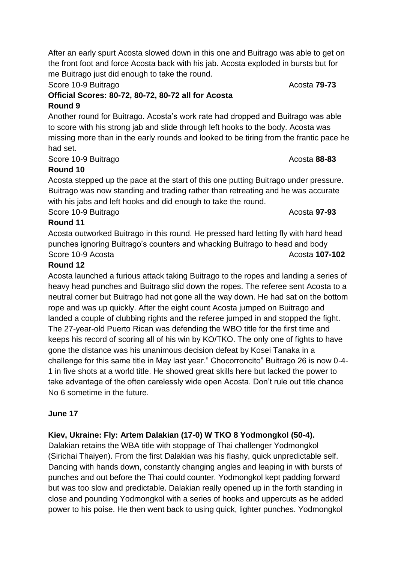After an early spurt Acosta slowed down in this one and Buitrago was able to get on the front foot and force Acosta back with his jab. Acosta exploded in bursts but for me Buitrago just did enough to take the round.

# Score 10-9 Buitrago **Acosta 79-73** Acosta 79-73

## **Official Scores: 80-72, 80-72, 80-72 all for Acosta Round 9**

Another round for Buitrago. Acosta's work rate had dropped and Buitrago was able to score with his strong jab and slide through left hooks to the body. Acosta was missing more than in the early rounds and looked to be tiring from the frantic pace he had set.

Score 10-9 Buitrago **Acosta 88-83** Acosta 88-83

# **Round 10**

Acosta stepped up the pace at the start of this one putting Buitrago under pressure. Buitrago was now standing and trading rather than retreating and he was accurate with his jabs and left hooks and did enough to take the round.

Score 10-9 Buitrago **Acosta 97-93** Acosta **97-93** 

# **Round 11**

Acosta outworked Buitrago in this round. He pressed hard letting fly with hard head punches ignoring Buitrago's counters and whacking Buitrago to head and body Score 10-9 Acosta **Acosta** Acosta **107-102** 

# **Round 12**

Acosta launched a furious attack taking Buitrago to the ropes and landing a series of heavy head punches and Buitrago slid down the ropes. The referee sent Acosta to a neutral corner but Buitrago had not gone all the way down. He had sat on the bottom rope and was up quickly. After the eight count Acosta jumped on Buitrago and landed a couple of clubbing rights and the referee jumped in and stopped the fight. The 27-year-old Puerto Rican was defending the WBO title for the first time and keeps his record of scoring all of his win by KO/TKO. The only one of fights to have gone the distance was his unanimous decision defeat by Kosei Tanaka in a challenge for this same title in May last year." Chocorroncito" Buitrago 26 is now 0-4- 1 in five shots at a world title. He showed great skills here but lacked the power to take advantage of the often carelessly wide open Acosta. Don't rule out title chance No 6 sometime in the future.

# **June 17**

# **Kiev, Ukraine: Fly: Artem Dalakian (17-0) W TKO 8 Yodmongkol (50-4).**

Dalakian retains the WBA title with stoppage of Thai challenger Yodmongkol (Sirichai Thaiyen). From the first Dalakian was his flashy, quick unpredictable self. Dancing with hands down, constantly changing angles and leaping in with bursts of punches and out before the Thai could counter. Yodmongkol kept padding forward but was too slow and predictable. Dalakian really opened up in the forth standing in close and pounding Yodmongkol with a series of hooks and uppercuts as he added power to his poise. He then went back to using quick, lighter punches. Yodmongkol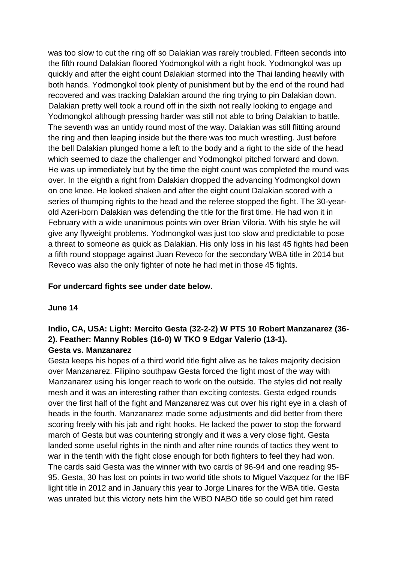was too slow to cut the ring off so Dalakian was rarely troubled. Fifteen seconds into the fifth round Dalakian floored Yodmongkol with a right hook. Yodmongkol was up quickly and after the eight count Dalakian stormed into the Thai landing heavily with both hands. Yodmongkol took plenty of punishment but by the end of the round had recovered and was tracking Dalakian around the ring trying to pin Dalakian down. Dalakian pretty well took a round off in the sixth not really looking to engage and Yodmongkol although pressing harder was still not able to bring Dalakian to battle. The seventh was an untidy round most of the way. Dalakian was still flitting around the ring and then leaping inside but the there was too much wrestling. Just before the bell Dalakian plunged home a left to the body and a right to the side of the head which seemed to daze the challenger and Yodmongkol pitched forward and down. He was up immediately but by the time the eight count was completed the round was over. In the eighth a right from Dalakian dropped the advancing Yodmongkol down on one knee. He looked shaken and after the eight count Dalakian scored with a series of thumping rights to the head and the referee stopped the fight. The 30-yearold Azeri-born Dalakian was defending the title for the first time. He had won it in February with a wide unanimous points win over Brian Viloria. With his style he will give any flyweight problems. Yodmongkol was just too slow and predictable to pose a threat to someone as quick as Dalakian. His only loss in his last 45 fights had been a fifth round stoppage against Juan Reveco for the secondary WBA title in 2014 but Reveco was also the only fighter of note he had met in those 45 fights.

#### **For undercard fights see under date below.**

#### **June 14**

## **Indio, CA, USA: Light: Mercito Gesta (32-2-2) W PTS 10 Robert Manzanarez (36- 2). Feather: Manny Robles (16-0) W TKO 9 Edgar Valerio (13-1). Gesta vs. Manzanarez**

Gesta keeps his hopes of a third world title fight alive as he takes majority decision over Manzanarez. Filipino southpaw Gesta forced the fight most of the way with Manzanarez using his longer reach to work on the outside. The styles did not really mesh and it was an interesting rather than exciting contests. Gesta edged rounds over the first half of the fight and Manzanarez was cut over his right eye in a clash of heads in the fourth. Manzanarez made some adjustments and did better from there scoring freely with his jab and right hooks. He lacked the power to stop the forward march of Gesta but was countering strongly and it was a very close fight. Gesta landed some useful rights in the ninth and after nine rounds of tactics they went to war in the tenth with the fight close enough for both fighters to feel they had won. The cards said Gesta was the winner with two cards of 96-94 and one reading 95- 95. Gesta, 30 has lost on points in two world title shots to Miguel Vazquez for the IBF light title in 2012 and in January this year to Jorge Linares for the WBA title. Gesta was unrated but this victory nets him the WBO NABO title so could get him rated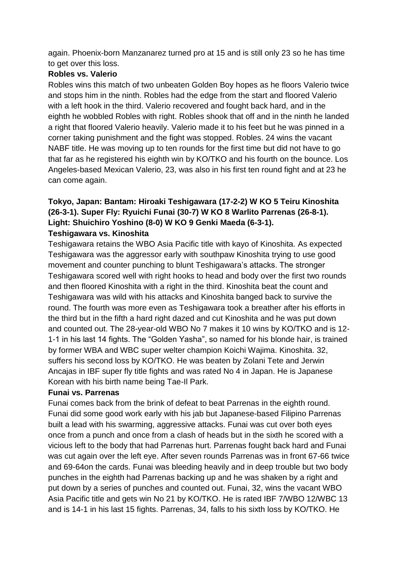again. Phoenix-born Manzanarez turned pro at 15 and is still only 23 so he has time to get over this loss.

## **Robles vs. Valerio**

Robles wins this match of two unbeaten Golden Boy hopes as he floors Valerio twice and stops him in the ninth. Robles had the edge from the start and floored Valerio with a left hook in the third. Valerio recovered and fought back hard, and in the eighth he wobbled Robles with right. Robles shook that off and in the ninth he landed a right that floored Valerio heavily. Valerio made it to his feet but he was pinned in a corner taking punishment and the fight was stopped. Robles. 24 wins the vacant NABF title. He was moving up to ten rounds for the first time but did not have to go that far as he registered his eighth win by KO/TKO and his fourth on the bounce. Los Angeles-based Mexican Valerio, 23, was also in his first ten round fight and at 23 he can come again.

## **Tokyo, Japan: Bantam: Hiroaki Teshigawara (17-2-2) W KO 5 Teiru Kinoshita (26-3-1). Super Fly: Ryuichi Funai (30-7) W KO 8 Warlito Parrenas (26-8-1). Light: Shuichiro Yoshino (8-0) W KO 9 Genki Maeda (6-3-1). Teshigawara vs. Kinoshita**

Teshigawara retains the WBO Asia Pacific title with kayo of Kinoshita. As expected Teshigawara was the aggressor early with southpaw Kinoshita trying to use good movement and counter punching to blunt Teshigawara's attacks. The stronger Teshigawara scored well with right hooks to head and body over the first two rounds and then floored Kinoshita with a right in the third. Kinoshita beat the count and Teshigawara was wild with his attacks and Kinoshita banged back to survive the round. The fourth was more even as Teshigawara took a breather after his efforts in the third but in the fifth a hard right dazed and cut Kinoshita and he was put down and counted out. The 28-year-old WBO No 7 makes it 10 wins by KO/TKO and is 12- 1-1 in his last 14 fights. The "Golden Yasha", so named for his blonde hair, is trained by former WBA and WBC super welter champion Koichi Wajima. Kinoshita. 32, suffers his second loss by KO/TKO. He was beaten by Zolani Tete and Jerwin Ancajas in IBF super fly title fights and was rated No 4 in Japan. He is Japanese Korean with his birth name being Tae-Il Park.

## **Funai vs. Parrenas**

Funai comes back from the brink of defeat to beat Parrenas in the eighth round. Funai did some good work early with his jab but Japanese-based Filipino Parrenas built a lead with his swarming, aggressive attacks. Funai was cut over both eyes once from a punch and once from a clash of heads but in the sixth he scored with a vicious left to the body that had Parrenas hurt. Parrenas fought back hard and Funai was cut again over the left eye. After seven rounds Parrenas was in front 67-66 twice and 69-64on the cards. Funai was bleeding heavily and in deep trouble but two body punches in the eighth had Parrenas backing up and he was shaken by a right and put down by a series of punches and counted out. Funai, 32, wins the vacant WBO Asia Pacific title and gets win No 21 by KO/TKO. He is rated IBF 7/WBO 12/WBC 13 and is 14-1 in his last 15 fights. Parrenas, 34, falls to his sixth loss by KO/TKO. He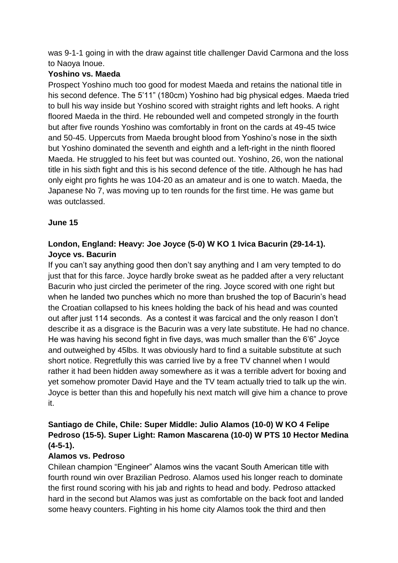was 9-1-1 going in with the draw against title challenger David Carmona and the loss to Naoya Inoue.

## **Yoshino vs. Maeda**

Prospect Yoshino much too good for modest Maeda and retains the national title in his second defence. The 5'11" (180cm) Yoshino had big physical edges. Maeda tried to bull his way inside but Yoshino scored with straight rights and left hooks. A right floored Maeda in the third. He rebounded well and competed strongly in the fourth but after five rounds Yoshino was comfortably in front on the cards at 49-45 twice and 50-45. Uppercuts from Maeda brought blood from Yoshino's nose in the sixth but Yoshino dominated the seventh and eighth and a left-right in the ninth floored Maeda. He struggled to his feet but was counted out. Yoshino, 26, won the national title in his sixth fight and this is his second defence of the title. Although he has had only eight pro fights he was 104-20 as an amateur and is one to watch. Maeda, the Japanese No 7, was moving up to ten rounds for the first time. He was game but was outclassed.

## **June 15**

# **London, England: Heavy: Joe Joyce (5-0) W KO 1 Ivica Bacurin (29-14-1). Joyce vs. Bacurin**

If you can't say anything good then don't say anything and I am very tempted to do just that for this farce. Joyce hardly broke sweat as he padded after a very reluctant Bacurin who just circled the perimeter of the ring. Joyce scored with one right but when he landed two punches which no more than brushed the top of Bacurin's head the Croatian collapsed to his knees holding the back of his head and was counted out after just 114 seconds. As a contest it was farcical and the only reason I don't describe it as a disgrace is the Bacurin was a very late substitute. He had no chance. He was having his second fight in five days, was much smaller than the 6'6" Joyce and outweighed by 45lbs. It was obviously hard to find a suitable substitute at such short notice. Regretfully this was carried live by a free TV channel when I would rather it had been hidden away somewhere as it was a terrible advert for boxing and yet somehow promoter David Haye and the TV team actually tried to talk up the win. Joyce is better than this and hopefully his next match will give him a chance to prove it.

# **Santiago de Chile, Chile: Super Middle: Julio Alamos (10-0) W KO 4 Felipe Pedroso (15-5). Super Light: Ramon Mascarena (10-0) W PTS 10 Hector Medina (4-5-1).**

## **Alamos vs. Pedroso**

Chilean champion "Engineer" Alamos wins the vacant South American title with fourth round win over Brazilian Pedroso. Alamos used his longer reach to dominate the first round scoring with his jab and rights to head and body. Pedroso attacked hard in the second but Alamos was just as comfortable on the back foot and landed some heavy counters. Fighting in his home city Alamos took the third and then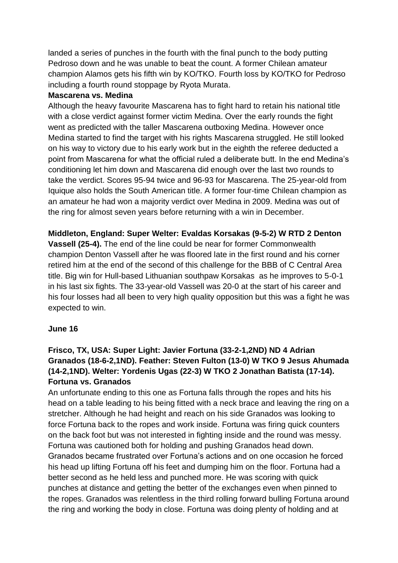landed a series of punches in the fourth with the final punch to the body putting Pedroso down and he was unable to beat the count. A former Chilean amateur champion Alamos gets his fifth win by KO/TKO. Fourth loss by KO/TKO for Pedroso including a fourth round stoppage by Ryota Murata.

#### **Mascarena vs. Medina**

Although the heavy favourite Mascarena has to fight hard to retain his national title with a close verdict against former victim Medina. Over the early rounds the fight went as predicted with the taller Mascarena outboxing Medina. However once Medina started to find the target with his rights Mascarena struggled. He still looked on his way to victory due to his early work but in the eighth the referee deducted a point from Mascarena for what the official ruled a deliberate butt. In the end Medina's conditioning let him down and Mascarena did enough over the last two rounds to take the verdict. Scores 95-94 twice and 96-93 for Mascarena. The 25-year-old from Iquique also holds the South American title. A former four-time Chilean champion as an amateur he had won a majority verdict over Medina in 2009. Medina was out of the ring for almost seven years before returning with a win in December.

**Middleton, England: Super Welter: Evaldas Korsakas (9-5-2) W RTD 2 Denton Vassell (25-4).** The end of the line could be near for former Commonwealth champion Denton Vassell after he was floored late in the first round and his corner retired him at the end of the second of this challenge for the BBB of C Central Area title. Big win for Hull-based Lithuanian southpaw Korsakas as he improves to 5-0-1 in his last six fights. The 33-year-old Vassell was 20-0 at the start of his career and his four losses had all been to very high quality opposition but this was a fight he was expected to win.

## **June 16**

# **Frisco, TX, USA: Super Light: Javier Fortuna (33-2-1,2ND) ND 4 Adrian Granados (18-6-2,1ND). Feather: Steven Fulton (13-0) W TKO 9 Jesus Ahumada (14-2,1ND). Welter: Yordenis Ugas (22-3) W TKO 2 Jonathan Batista (17-14). Fortuna vs. Granados**

An unfortunate ending to this one as Fortuna falls through the ropes and hits his head on a table leading to his being fitted with a neck brace and leaving the ring on a stretcher. Although he had height and reach on his side Granados was looking to force Fortuna back to the ropes and work inside. Fortuna was firing quick counters on the back foot but was not interested in fighting inside and the round was messy. Fortuna was cautioned both for holding and pushing Granados head down. Granados became frustrated over Fortuna's actions and on one occasion he forced his head up lifting Fortuna off his feet and dumping him on the floor. Fortuna had a better second as he held less and punched more. He was scoring with quick punches at distance and getting the better of the exchanges even when pinned to the ropes. Granados was relentless in the third rolling forward bulling Fortuna around the ring and working the body in close. Fortuna was doing plenty of holding and at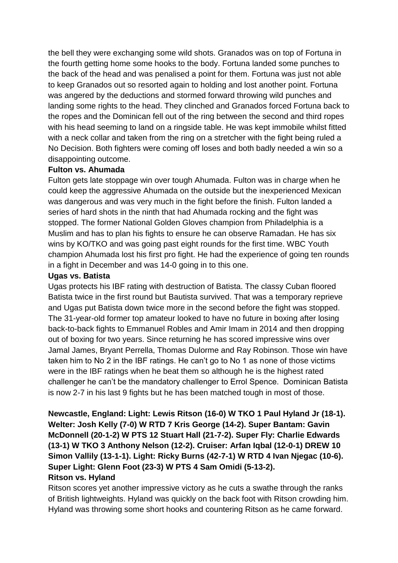the bell they were exchanging some wild shots. Granados was on top of Fortuna in the fourth getting home some hooks to the body. Fortuna landed some punches to the back of the head and was penalised a point for them. Fortuna was just not able to keep Granados out so resorted again to holding and lost another point. Fortuna was angered by the deductions and stormed forward throwing wild punches and landing some rights to the head. They clinched and Granados forced Fortuna back to the ropes and the Dominican fell out of the ring between the second and third ropes with his head seeming to land on a ringside table. He was kept immobile whilst fitted with a neck collar and taken from the ring on a stretcher with the fight being ruled a No Decision. Both fighters were coming off loses and both badly needed a win so a disappointing outcome.

#### **Fulton vs. Ahumada**

Fulton gets late stoppage win over tough Ahumada. Fulton was in charge when he could keep the aggressive Ahumada on the outside but the inexperienced Mexican was dangerous and was very much in the fight before the finish. Fulton landed a series of hard shots in the ninth that had Ahumada rocking and the fight was stopped. The former National Golden Gloves champion from Philadelphia is a Muslim and has to plan his fights to ensure he can observe Ramadan. He has six wins by KO/TKO and was going past eight rounds for the first time. WBC Youth champion Ahumada lost his first pro fight. He had the experience of going ten rounds in a fight in December and was 14-0 going in to this one.

#### **Ugas vs. Batista**

Ugas protects his IBF rating with destruction of Batista. The classy Cuban floored Batista twice in the first round but Bautista survived. That was a temporary reprieve and Ugas put Batista down twice more in the second before the fight was stopped. The 31-year-old former top amateur looked to have no future in boxing after losing back-to-back fights to Emmanuel Robles and Amir Imam in 2014 and then dropping out of boxing for two years. Since returning he has scored impressive wins over Jamal James, Bryant Perrella, Thomas Dulorme and Ray Robinson. Those win have taken him to No 2 in the IBF ratings. He can't go to No 1 as none of those victims were in the IBF ratings when he beat them so although he is the highest rated challenger he can't be the mandatory challenger to Errol Spence. Dominican Batista is now 2-7 in his last 9 fights but he has been matched tough in most of those.

**Newcastle, England: Light: Lewis Ritson (16-0) W TKO 1 Paul Hyland Jr (18-1). Welter: Josh Kelly (7-0) W RTD 7 Kris George (14-2). Super Bantam: Gavin McDonnell (20-1-2) W PTS 12 Stuart Hall (21-7-2). Super Fly: Charlie Edwards (13-1) W TKO 3 Anthony Nelson (12-2). Cruiser: Arfan Iqbal (12-0-1) DREW 10 Simon Vallily (13-1-1). Light: Ricky Burns (42-7-1) W RTD 4 Ivan Njegac (10-6). Super Light: Glenn Foot (23-3) W PTS 4 Sam Omidi (5-13-2). Ritson vs. Hyland**

Ritson scores yet another impressive victory as he cuts a swathe through the ranks of British lightweights. Hyland was quickly on the back foot with Ritson crowding him. Hyland was throwing some short hooks and countering Ritson as he came forward.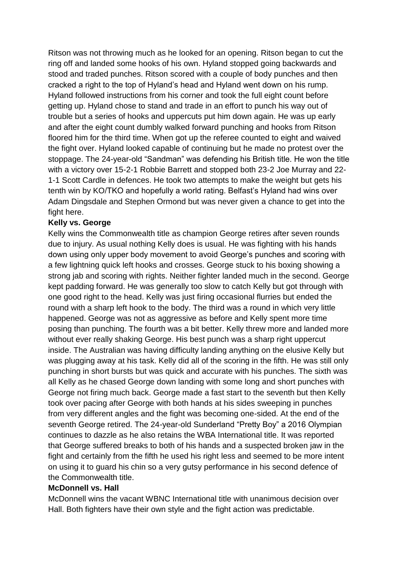Ritson was not throwing much as he looked for an opening. Ritson began to cut the ring off and landed some hooks of his own. Hyland stopped going backwards and stood and traded punches. Ritson scored with a couple of body punches and then cracked a right to the top of Hyland's head and Hyland went down on his rump. Hyland followed instructions from his corner and took the full eight count before getting up. Hyland chose to stand and trade in an effort to punch his way out of trouble but a series of hooks and uppercuts put him down again. He was up early and after the eight count dumbly walked forward punching and hooks from Ritson floored him for the third time. When got up the referee counted to eight and waived the fight over. Hyland looked capable of continuing but he made no protest over the stoppage. The 24-year-old "Sandman" was defending his British title. He won the title with a victory over 15-2-1 Robbie Barrett and stopped both 23-2 Joe Murray and 22- 1-1 Scott Cardle in defences. He took two attempts to make the weight but gets his tenth win by KO/TKO and hopefully a world rating. Belfast's Hyland had wins over Adam Dingsdale and Stephen Ormond but was never given a chance to get into the fight here.

#### **Kelly vs. George**

Kelly wins the Commonwealth title as champion George retires after seven rounds due to injury. As usual nothing Kelly does is usual. He was fighting with his hands down using only upper body movement to avoid George's punches and scoring with a few lightning quick left hooks and crosses. George stuck to his boxing showing a strong jab and scoring with rights. Neither fighter landed much in the second. George kept padding forward. He was generally too slow to catch Kelly but got through with one good right to the head. Kelly was just firing occasional flurries but ended the round with a sharp left hook to the body. The third was a round in which very little happened. George was not as aggressive as before and Kelly spent more time posing than punching. The fourth was a bit better. Kelly threw more and landed more without ever really shaking George. His best punch was a sharp right uppercut inside. The Australian was having difficulty landing anything on the elusive Kelly but was plugging away at his task. Kelly did all of the scoring in the fifth. He was still only punching in short bursts but was quick and accurate with his punches. The sixth was all Kelly as he chased George down landing with some long and short punches with George not firing much back. George made a fast start to the seventh but then Kelly took over pacing after George with both hands at his sides sweeping in punches from very different angles and the fight was becoming one-sided. At the end of the seventh George retired. The 24-year-old Sunderland "Pretty Boy" a 2016 Olympian continues to dazzle as he also retains the WBA International title. It was reported that George suffered breaks to both of his hands and a suspected broken jaw in the fight and certainly from the fifth he used his right less and seemed to be more intent on using it to guard his chin so a very gutsy performance in his second defence of the Commonwealth title.

#### **McDonnell vs. Hall**

McDonnell wins the vacant WBNC International title with unanimous decision over Hall. Both fighters have their own style and the fight action was predictable.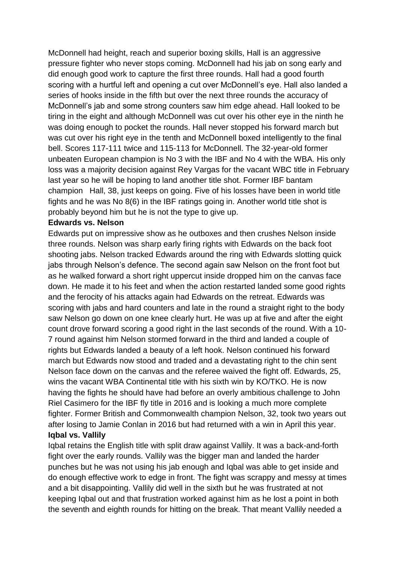McDonnell had height, reach and superior boxing skills, Hall is an aggressive pressure fighter who never stops coming. McDonnell had his jab on song early and did enough good work to capture the first three rounds. Hall had a good fourth scoring with a hurtful left and opening a cut over McDonnell's eye. Hall also landed a series of hooks inside in the fifth but over the next three rounds the accuracy of McDonnell's jab and some strong counters saw him edge ahead. Hall looked to be tiring in the eight and although McDonnell was cut over his other eye in the ninth he was doing enough to pocket the rounds. Hall never stopped his forward march but was cut over his right eye in the tenth and McDonnell boxed intelligently to the final bell. Scores 117-111 twice and 115-113 for McDonnell. The 32-year-old former unbeaten European champion is No 3 with the IBF and No 4 with the WBA. His only loss was a majority decision against Rey Vargas for the vacant WBC title in February last year so he will be hoping to land another title shot. Former IBF bantam champion Hall, 38, just keeps on going. Five of his losses have been in world title fights and he was No 8(6) in the IBF ratings going in. Another world title shot is probably beyond him but he is not the type to give up.

#### **Edwards vs. Nelson**

Edwards put on impressive show as he outboxes and then crushes Nelson inside three rounds. Nelson was sharp early firing rights with Edwards on the back foot shooting jabs. Nelson tracked Edwards around the ring with Edwards slotting quick jabs through Nelson's defence. The second again saw Nelson on the front foot but as he walked forward a short right uppercut inside dropped him on the canvas face down. He made it to his feet and when the action restarted landed some good rights and the ferocity of his attacks again had Edwards on the retreat. Edwards was scoring with jabs and hard counters and late in the round a straight right to the body saw Nelson go down on one knee clearly hurt. He was up at five and after the eight count drove forward scoring a good right in the last seconds of the round. With a 10- 7 round against him Nelson stormed forward in the third and landed a couple of rights but Edwards landed a beauty of a left hook. Nelson continued his forward march but Edwards now stood and traded and a devastating right to the chin sent Nelson face down on the canvas and the referee waived the fight off. Edwards, 25, wins the vacant WBA Continental title with his sixth win by KO/TKO. He is now having the fights he should have had before an overly ambitious challenge to John Riel Casimero for the IBF fly title in 2016 and is looking a much more complete fighter. Former British and Commonwealth champion Nelson, 32, took two years out after losing to Jamie Conlan in 2016 but had returned with a win in April this year. **Iqbal vs. Vallily**

Iqbal retains the English title with split draw against Vallily. It was a back-and-forth fight over the early rounds. Vallily was the bigger man and landed the harder punches but he was not using his jab enough and Iqbal was able to get inside and do enough effective work to edge in front. The fight was scrappy and messy at times and a bit disappointing. Vallily did well in the sixth but he was frustrated at not keeping Iqbal out and that frustration worked against him as he lost a point in both the seventh and eighth rounds for hitting on the break. That meant Vallily needed a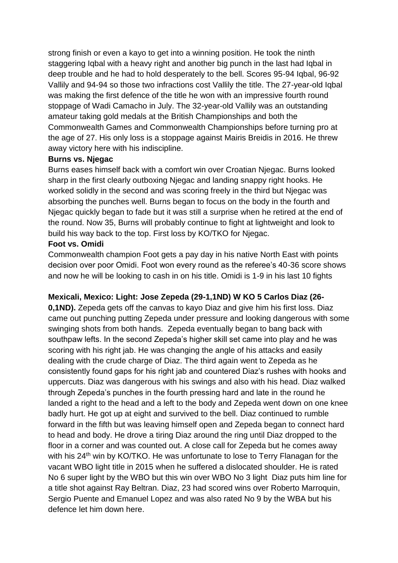strong finish or even a kayo to get into a winning position. He took the ninth staggering Iqbal with a heavy right and another big punch in the last had Iqbal in deep trouble and he had to hold desperately to the bell. Scores 95-94 Iqbal, 96-92 Vallily and 94-94 so those two infractions cost Vallily the title. The 27-year-old Iqbal was making the first defence of the title he won with an impressive fourth round stoppage of Wadi Camacho in July. The 32-year-old Vallily was an outstanding amateur taking gold medals at the British Championships and both the Commonwealth Games and Commonwealth Championships before turning pro at the age of 27. His only loss is a stoppage against Mairis Breidis in 2016. He threw away victory here with his indiscipline.

#### **Burns vs. Njegac**

Burns eases himself back with a comfort win over Croatian Njegac. Burns looked sharp in the first clearly outboxing Njegac and landing snappy right hooks. He worked solidly in the second and was scoring freely in the third but Njegac was absorbing the punches well. Burns began to focus on the body in the fourth and Njegac quickly began to fade but it was still a surprise when he retired at the end of the round. Now 35, Burns will probably continue to fight at lightweight and look to build his way back to the top. First loss by KO/TKO for Njegac.

#### **Foot vs. Omidi**

Commonwealth champion Foot gets a pay day in his native North East with points decision over poor Omidi. Foot won every round as the referee's 40-36 score shows and now he will be looking to cash in on his title. Omidi is 1-9 in his last 10 fights

## **Mexicali, Mexico: Light: Jose Zepeda (29-1,1ND) W KO 5 Carlos Diaz (26-**

**0,1ND).** Zepeda gets off the canvas to kayo Diaz and give him his first loss. Diaz came out punching putting Zepeda under pressure and looking dangerous with some swinging shots from both hands. Zepeda eventually began to bang back with southpaw lefts. In the second Zepeda's higher skill set came into play and he was scoring with his right jab. He was changing the angle of his attacks and easily dealing with the crude charge of Diaz. The third again went to Zepeda as he consistently found gaps for his right jab and countered Diaz's rushes with hooks and uppercuts. Diaz was dangerous with his swings and also with his head. Diaz walked through Zepeda's punches in the fourth pressing hard and late in the round he landed a right to the head and a left to the body and Zepeda went down on one knee badly hurt. He got up at eight and survived to the bell. Diaz continued to rumble forward in the fifth but was leaving himself open and Zepeda began to connect hard to head and body. He drove a tiring Diaz around the ring until Diaz dropped to the floor in a corner and was counted out. A close call for Zepeda but he comes away with his 24<sup>th</sup> win by KO/TKO. He was unfortunate to lose to Terry Flanagan for the vacant WBO light title in 2015 when he suffered a dislocated shoulder. He is rated No 6 super light by the WBO but this win over WBO No 3 light Diaz puts him line for a title shot against Ray Beltran. Diaz, 23 had scored wins over Roberto Marroquin, Sergio Puente and Emanuel Lopez and was also rated No 9 by the WBA but his defence let him down here.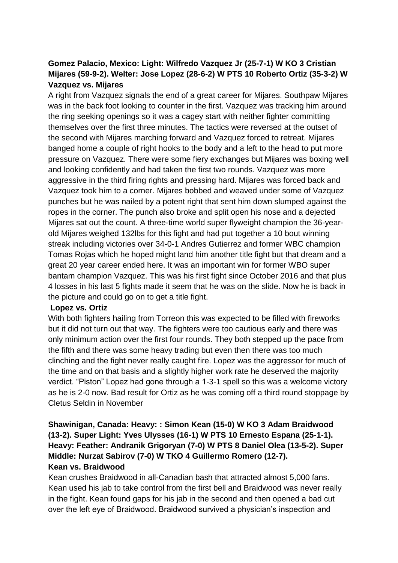# **Gomez Palacio, Mexico: Light: Wilfredo Vazquez Jr (25-7-1) W KO 3 Cristian Mijares (59-9-2). Welter: Jose Lopez (28-6-2) W PTS 10 Roberto Ortiz (35-3-2) W Vazquez vs. Mijares**

A right from Vazquez signals the end of a great career for Mijares. Southpaw Mijares was in the back foot looking to counter in the first. Vazquez was tracking him around the ring seeking openings so it was a cagey start with neither fighter committing themselves over the first three minutes. The tactics were reversed at the outset of the second with Mijares marching forward and Vazquez forced to retreat. Mijares banged home a couple of right hooks to the body and a left to the head to put more pressure on Vazquez. There were some fiery exchanges but Mijares was boxing well and looking confidently and had taken the first two rounds. Vazquez was more aggressive in the third firing rights and pressing hard. Mijares was forced back and Vazquez took him to a corner. Mijares bobbed and weaved under some of Vazquez punches but he was nailed by a potent right that sent him down slumped against the ropes in the corner. The punch also broke and split open his nose and a dejected Mijares sat out the count. A three-time world super flyweight champion the 36-yearold Mijares weighed 132lbs for this fight and had put together a 10 bout winning streak including victories over 34-0-1 Andres Gutierrez and former WBC champion Tomas Rojas which he hoped might land him another title fight but that dream and a great 20 year career ended here. It was an important win for former WBO super bantam champion Vazquez. This was his first fight since October 2016 and that plus 4 losses in his last 5 fights made it seem that he was on the slide. Now he is back in the picture and could go on to get a title fight.

#### **Lopez vs. Ortiz**

With both fighters hailing from Torreon this was expected to be filled with fireworks but it did not turn out that way. The fighters were too cautious early and there was only minimum action over the first four rounds. They both stepped up the pace from the fifth and there was some heavy trading but even then there was too much clinching and the fight never really caught fire. Lopez was the aggressor for much of the time and on that basis and a slightly higher work rate he deserved the majority verdict. "Piston" Lopez had gone through a 1-3-1 spell so this was a welcome victory as he is 2-0 now. Bad result for Ortiz as he was coming off a third round stoppage by Cletus Seldin in November

## **Shawinigan, Canada: Heavy: : Simon Kean (15-0) W KO 3 Adam Braidwood (13-2). Super Light: Yves Ulysses (16-1) W PTS 10 Ernesto Espana (25-1-1). Heavy: Feather: Andranik Grigoryan (7-0) W PTS 8 Daniel Olea (13-5-2). Super Middle: Nurzat Sabirov (7-0) W TKO 4 Guillermo Romero (12-7). Kean vs. Braidwood**

Kean crushes Braidwood in all-Canadian bash that attracted almost 5,000 fans. Kean used his jab to take control from the first bell and Braidwood was never really in the fight. Kean found gaps for his jab in the second and then opened a bad cut over the left eye of Braidwood. Braidwood survived a physician's inspection and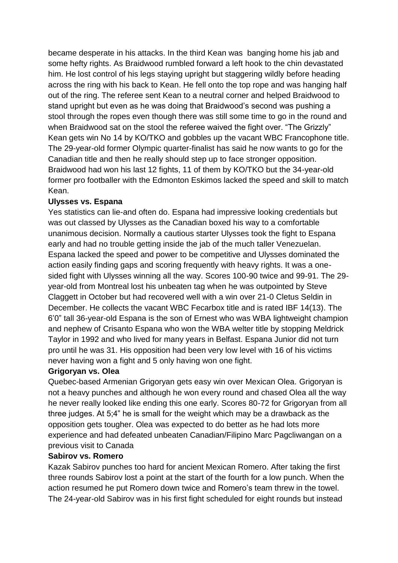became desperate in his attacks. In the third Kean was banging home his jab and some hefty rights. As Braidwood rumbled forward a left hook to the chin devastated him. He lost control of his legs staying upright but staggering wildly before heading across the ring with his back to Kean. He fell onto the top rope and was hanging half out of the ring. The referee sent Kean to a neutral corner and helped Braidwood to stand upright but even as he was doing that Braidwood's second was pushing a stool through the ropes even though there was still some time to go in the round and when Braidwood sat on the stool the referee waived the fight over. "The Grizzly" Kean gets win No 14 by KO/TKO and gobbles up the vacant WBC Francophone title. The 29-year-old former Olympic quarter-finalist has said he now wants to go for the Canadian title and then he really should step up to face stronger opposition. Braidwood had won his last 12 fights, 11 of them by KO/TKO but the 34-year-old former pro footballer with the Edmonton Eskimos lacked the speed and skill to match Kean.

## **Ulysses vs. Espana**

Yes statistics can lie-and often do. Espana had impressive looking credentials but was out classed by Ulysses as the Canadian boxed his way to a comfortable unanimous decision. Normally a cautious starter Ulysses took the fight to Espana early and had no trouble getting inside the jab of the much taller Venezuelan. Espana lacked the speed and power to be competitive and Ulysses dominated the action easily finding gaps and scoring frequently with heavy rights. It was a onesided fight with Ulysses winning all the way. Scores 100-90 twice and 99-91. The 29 year-old from Montreal lost his unbeaten tag when he was outpointed by Steve Claggett in October but had recovered well with a win over 21-0 Cletus Seldin in December. He collects the vacant WBC Fecarbox title and is rated IBF 14(13). The 6'0" tall 36-year-old Espana is the son of Ernest who was WBA lightweight champion and nephew of Crisanto Espana who won the WBA welter title by stopping Meldrick Taylor in 1992 and who lived for many years in Belfast. Espana Junior did not turn pro until he was 31. His opposition had been very low level with 16 of his victims never having won a fight and 5 only having won one fight.

## **Grigoryan vs. Olea**

Quebec-based Armenian Grigoryan gets easy win over Mexican Olea. Grigoryan is not a heavy punches and although he won every round and chased Olea all the way he never really looked like ending this one early. Scores 80-72 for Grigoryan from all three judges. At 5;4" he is small for the weight which may be a drawback as the opposition gets tougher. Olea was expected to do better as he had lots more experience and had defeated unbeaten Canadian/Filipino Marc Pagcliwangan on a previous visit to Canada

## **Sabirov vs. Romero**

Kazak Sabirov punches too hard for ancient Mexican Romero. After taking the first three rounds Sabirov lost a point at the start of the fourth for a low punch. When the action resumed he put Romero down twice and Romero's team threw in the towel. The 24-year-old Sabirov was in his first fight scheduled for eight rounds but instead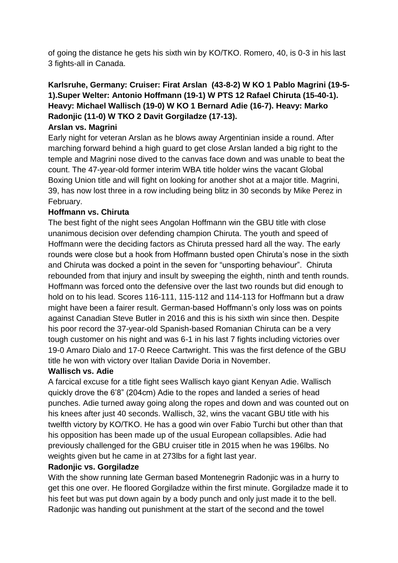of going the distance he gets his sixth win by KO/TKO. Romero, 40, is 0-3 in his last 3 fights-all in Canada.

# **Karlsruhe, Germany: Cruiser: Firat Arslan (43-8-2) W KO 1 Pablo Magrini (19-5- 1).Super Welter: Antonio Hoffmann (19-1) W PTS 12 Rafael Chiruta (15-40-1). Heavy: Michael Wallisch (19-0) W KO 1 Bernard Adie (16-7). Heavy: Marko Radonjic (11-0) W TKO 2 Davit Gorgiladze (17-13).**

## **Arslan vs. Magrini**

Early night for veteran Arslan as he blows away Argentinian inside a round. After marching forward behind a high guard to get close Arslan landed a big right to the temple and Magrini nose dived to the canvas face down and was unable to beat the count. The 47-year-old former interim WBA title holder wins the vacant Global Boxing Union title and will fight on looking for another shot at a major title. Magrini, 39, has now lost three in a row including being blitz in 30 seconds by Mike Perez in February.

## **Hoffmann vs. Chiruta**

The best fight of the night sees Angolan Hoffmann win the GBU title with close unanimous decision over defending champion Chiruta. The youth and speed of Hoffmann were the deciding factors as Chiruta pressed hard all the way. The early rounds were close but a hook from Hoffmann busted open Chiruta's nose in the sixth and Chiruta was docked a point in the seven for "unsporting behaviour". Chiruta rebounded from that injury and insult by sweeping the eighth, ninth and tenth rounds. Hoffmann was forced onto the defensive over the last two rounds but did enough to hold on to his lead. Scores 116-111, 115-112 and 114-113 for Hoffmann but a draw might have been a fairer result. German-based Hoffmann's only loss was on points against Canadian Steve Butler in 2016 and this is his sixth win since then. Despite his poor record the 37-year-old Spanish-based Romanian Chiruta can be a very tough customer on his night and was 6-1 in his last 7 fights including victories over 19-0 Amaro Dialo and 17-0 Reece Cartwright. This was the first defence of the GBU title he won with victory over Italian Davide Doria in November.

## **Wallisch vs. Adie**

A farcical excuse for a title fight sees Wallisch kayo giant Kenyan Adie. Wallisch quickly drove the 6'8" (204cm) Adie to the ropes and landed a series of head punches. Adie turned away going along the ropes and down and was counted out on his knees after just 40 seconds. Wallisch, 32, wins the vacant GBU title with his twelfth victory by KO/TKO. He has a good win over Fabio Turchi but other than that his opposition has been made up of the usual European collapsibles. Adie had previously challenged for the GBU cruiser title in 2015 when he was 196lbs. No weights given but he came in at 273lbs for a fight last year.

## **Radonjic vs. Gorgiladze**

With the show running late German based Montenegrin Radonjic was in a hurry to get this one over. He floored Gorgiladze within the first minute. Gorgiladze made it to his feet but was put down again by a body punch and only just made it to the bell. Radonjic was handing out punishment at the start of the second and the towel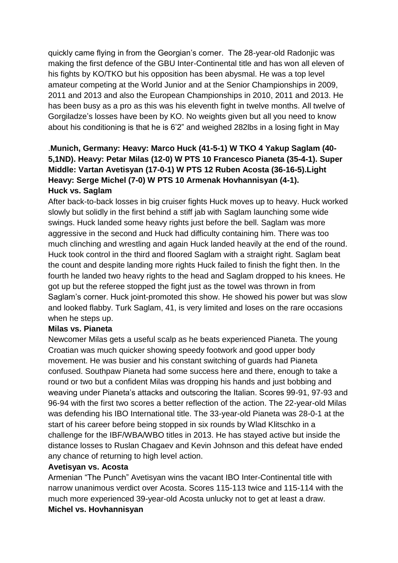quickly came flying in from the Georgian's corner. The 28-year-old Radonjic was making the first defence of the GBU Inter-Continental title and has won all eleven of his fights by KO/TKO but his opposition has been abysmal. He was a top level amateur competing at the World Junior and at the Senior Championships in 2009, 2011 and 2013 and also the European Championships in 2010, 2011 and 2013. He has been busy as a pro as this was his eleventh fight in twelve months. All twelve of Gorgiladze's losses have been by KO. No weights given but all you need to know about his conditioning is that he is 6'2" and weighed 282lbs in a losing fight in May

# .**Munich, Germany: Heavy: Marco Huck (41-5-1) W TKO 4 Yakup Saglam (40- 5,1ND). Heavy: Petar Milas (12-0) W PTS 10 Francesco Pianeta (35-4-1). Super Middle: Vartan Avetisyan (17-0-1) W PTS 12 Ruben Acosta (36-16-5).Light Heavy: Serge Michel (7-0) W PTS 10 Armenak Hovhannisyan (4-1). Huck vs. Saglam**

After back-to-back losses in big cruiser fights Huck moves up to heavy. Huck worked slowly but solidly in the first behind a stiff jab with Saglam launching some wide swings. Huck landed some heavy rights just before the bell. Saglam was more aggressive in the second and Huck had difficulty containing him. There was too much clinching and wrestling and again Huck landed heavily at the end of the round. Huck took control in the third and floored Saglam with a straight right. Saglam beat the count and despite landing more rights Huck failed to finish the fight then. In the fourth he landed two heavy rights to the head and Saglam dropped to his knees. He got up but the referee stopped the fight just as the towel was thrown in from Saglam's corner. Huck joint-promoted this show. He showed his power but was slow and looked flabby. Turk Saglam, 41, is very limited and loses on the rare occasions when he steps up.

## **Milas vs. Pianeta**

Newcomer Milas gets a useful scalp as he beats experienced Pianeta. The young Croatian was much quicker showing speedy footwork and good upper body movement. He was busier and his constant switching of guards had Pianeta confused. Southpaw Pianeta had some success here and there, enough to take a round or two but a confident Milas was dropping his hands and just bobbing and weaving under Pianeta's attacks and outscoring the Italian. Scores 99-91, 97-93 and 96-94 with the first two scores a better reflection of the action. The 22-year-old Milas was defending his IBO International title. The 33-year-old Pianeta was 28-0-1 at the start of his career before being stopped in six rounds by Wlad Klitschko in a challenge for the IBF/WBA/WBO titles in 2013. He has stayed active but inside the distance losses to Ruslan Chagaev and Kevin Johnson and this defeat have ended any chance of returning to high level action.

## **Avetisyan vs. Acosta**

Armenian "The Punch" Avetisyan wins the vacant IBO Inter-Continental title with narrow unanimous verdict over Acosta. Scores 115-113 twice and 115-114 with the much more experienced 39-year-old Acosta unlucky not to get at least a draw. **Michel vs. Hovhannisyan**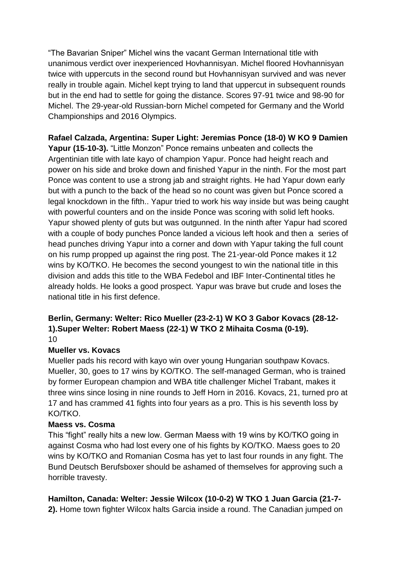"The Bavarian Sniper" Michel wins the vacant German International title with unanimous verdict over inexperienced Hovhannisyan. Michel floored Hovhannisyan twice with uppercuts in the second round but Hovhannisyan survived and was never really in trouble again. Michel kept trying to land that uppercut in subsequent rounds but in the end had to settle for going the distance. Scores 97-91 twice and 98-90 for Michel. The 29-year-old Russian-born Michel competed for Germany and the World Championships and 2016 Olympics.

# **Rafael Calzada, Argentina: Super Light: Jeremias Ponce (18-0) W KO 9 Damien**

**Yapur (15-10-3).** "Little Monzon" Ponce remains unbeaten and collects the Argentinian title with late kayo of champion Yapur. Ponce had height reach and power on his side and broke down and finished Yapur in the ninth. For the most part Ponce was content to use a strong jab and straight rights. He had Yapur down early but with a punch to the back of the head so no count was given but Ponce scored a legal knockdown in the fifth.. Yapur tried to work his way inside but was being caught with powerful counters and on the inside Ponce was scoring with solid left hooks. Yapur showed plenty of guts but was outgunned. In the ninth after Yapur had scored with a couple of body punches Ponce landed a vicious left hook and then a series of head punches driving Yapur into a corner and down with Yapur taking the full count on his rump propped up against the ring post. The 21-year-old Ponce makes it 12 wins by KO/TKO. He becomes the second youngest to win the national title in this division and adds this title to the WBA Fedebol and IBF Inter-Continental titles he already holds. He looks a good prospect. Yapur was brave but crude and loses the national title in his first defence.

#### **Berlin, Germany: Welter: Rico Mueller (23-2-1) W KO 3 Gabor Kovacs (28-12- 1).Super Welter: Robert Maess (22-1) W TKO 2 Mihaita Cosma (0-19).** 10

## **Mueller vs. Kovacs**

Mueller pads his record with kayo win over young Hungarian southpaw Kovacs. Mueller, 30, goes to 17 wins by KO/TKO. The self-managed German, who is trained by former European champion and WBA title challenger Michel Trabant, makes it three wins since losing in nine rounds to Jeff Horn in 2016. Kovacs, 21, turned pro at 17 and has crammed 41 fights into four years as a pro. This is his seventh loss by KO/TKO.

## **Maess vs. Cosma**

This "fight" really hits a new low. German Maess with 19 wins by KO/TKO going in against Cosma who had lost every one of his fights by KO/TKO. Maess goes to 20 wins by KO/TKO and Romanian Cosma has yet to last four rounds in any fight. The Bund Deutsch Berufsboxer should be ashamed of themselves for approving such a horrible travesty.

## **Hamilton, Canada: Welter: Jessie Wilcox (10-0-2) W TKO 1 Juan Garcia (21-7-**

**2).** Home town fighter Wilcox halts Garcia inside a round. The Canadian jumped on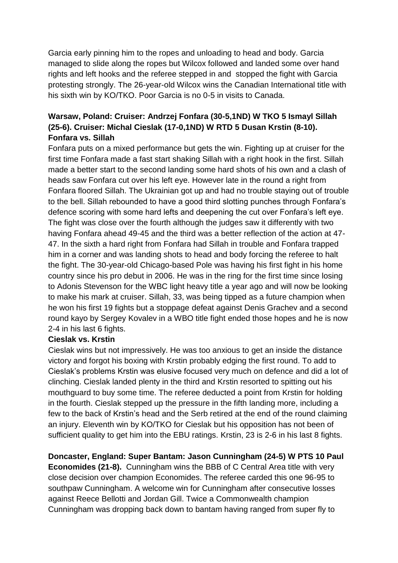Garcia early pinning him to the ropes and unloading to head and body. Garcia managed to slide along the ropes but Wilcox followed and landed some over hand rights and left hooks and the referee stepped in and stopped the fight with Garcia protesting strongly. The 26-year-old Wilcox wins the Canadian International title with his sixth win by KO/TKO. Poor Garcia is no 0-5 in visits to Canada.

# **Warsaw, Poland: Cruiser: Andrzej Fonfara (30-5,1ND) W TKO 5 Ismayl Sillah (25-6). Cruiser: Michal Cieslak (17-0,1ND) W RTD 5 Dusan Krstin (8-10). Fonfara vs. Sillah**

Fonfara puts on a mixed performance but gets the win. Fighting up at cruiser for the first time Fonfara made a fast start shaking Sillah with a right hook in the first. Sillah made a better start to the second landing some hard shots of his own and a clash of heads saw Fonfara cut over his left eye. However late in the round a right from Fonfara floored Sillah. The Ukrainian got up and had no trouble staying out of trouble to the bell. Sillah rebounded to have a good third slotting punches through Fonfara's defence scoring with some hard lefts and deepening the cut over Fonfara's left eye. The fight was close over the fourth although the judges saw it differently with two having Fonfara ahead 49-45 and the third was a better reflection of the action at 47- 47. In the sixth a hard right from Fonfara had Sillah in trouble and Fonfara trapped him in a corner and was landing shots to head and body forcing the referee to halt the fight. The 30-year-old Chicago-based Pole was having his first fight in his home country since his pro debut in 2006. He was in the ring for the first time since losing to Adonis Stevenson for the WBC light heavy title a year ago and will now be looking to make his mark at cruiser. Sillah, 33, was being tipped as a future champion when he won his first 19 fights but a stoppage defeat against Denis Grachev and a second round kayo by Sergey Kovalev in a WBO title fight ended those hopes and he is now 2-4 in his last 6 fights.

#### **Cieslak vs. Krstin**

Cieslak wins but not impressively. He was too anxious to get an inside the distance victory and forgot his boxing with Krstin probably edging the first round. To add to Cieslak's problems Krstin was elusive focused very much on defence and did a lot of clinching. Cieslak landed plenty in the third and Krstin resorted to spitting out his mouthguard to buy some time. The referee deducted a point from Krstin for holding in the fourth. Cieslak stepped up the pressure in the fifth landing more, including a few to the back of Krstin's head and the Serb retired at the end of the round claiming an injury. Eleventh win by KO/TKO for Cieslak but his opposition has not been of sufficient quality to get him into the EBU ratings. Krstin, 23 is 2-6 in his last 8 fights.

## **Doncaster, England: Super Bantam: Jason Cunningham (24-5) W PTS 10 Paul**

**Economides (21-8).** Cunningham wins the BBB of C Central Area title with very close decision over champion Economides. The referee carded this one 96-95 to southpaw Cunningham. A welcome win for Cunningham after consecutive losses against Reece Bellotti and Jordan Gill. Twice a Commonwealth champion Cunningham was dropping back down to bantam having ranged from super fly to